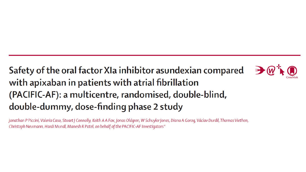#### Safety of the oral factor XIa inhibitor asundexian compared with apixaban in patients with atrial fibrillation (PACIFIC-AF): a multicentre, randomised, double-blind, double-dummy, dose-finding phase 2 study



Jonathan P Piccini, Valeria Caso, Stuart J Connolly, Keith A A Fox, Jonas Oldgren, W Schuyler Jones, Diana A Goroq, Václav Durdil, Thomas Viethen, Christoph Neumann, Hardi Mundl, Manesh R Patel, on behalf of the PACIFIC-AF Investigators\*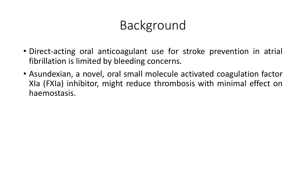### Background

- Direct-acting oral anticoagulant use for stroke prevention in atrial fibrillation is limited by bleeding concerns.
- Asundexian, a novel, oral small molecule activated coagulation factor XIa (FXIa) inhibitor, might reduce thrombosis with minimal effect on haemostasis.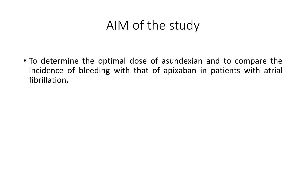#### AIM of the study

• To determine the optimal dose of asundexian and to compare the incidence of bleeding with that of apixaban in patients with atrial fibrillation**.**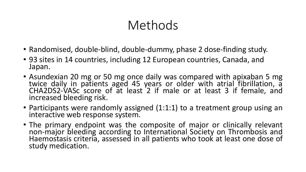## Methods

- Randomised, double-blind, double-dummy, phase 2 dose-finding study.
- 93 sites in 14 countries, including 12 European countries, Canada, and Japan.
- Asundexian 20 mg or 50 mg once daily was compared with apixaban 5 mg twice daily in patients aged 45 years or older with atrial fibrillation, a CHA2DS2-VASc score of at least 2 if male or at least 3 if female, and increased bleeding risk.
- Participants were randomly assigned (1:1:1) to a treatment group using an interactive web response system.
- The primary endpoint was the composite of major or clinically relevant non-major bleeding according to International Society on Thrombosis and Haemostasis criteria, assessed in all patients who took at least one dose of study medication.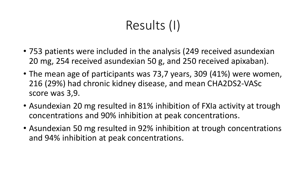# Results (I)

- 753 patients were included in the analysis (249 received asundexian 20 mg, 254 received asundexian 50 g, and 250 received apixaban).
- The mean age of participants was 73,7 years, 309 (41%) were women, 216 (29%) had chronic kidney disease, and mean CHA2DS2-VASc score was 3,9.
- Asundexian 20 mg resulted in 81% inhibition of FXIa activity at trough concentrations and 90% inhibition at peak concentrations.
- Asundexian 50 mg resulted in 92% inhibition at trough concentrations and 94% inhibition at peak concentrations.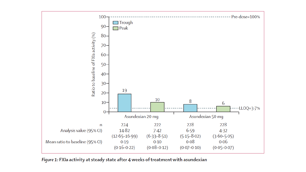

Figure 1: FXIa activity at steady state after 4 weeks of treatment with asundexian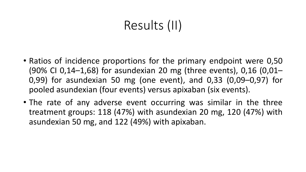# Results (II)

- Ratios of incidence proportions for the primary endpoint were 0,50 (90% CI 0,14–1,68) for asundexian 20 mg (three events), 0,16 (0,01– 0,99) for asundexian 50 mg (one event), and 0,33 (0,09–0,97) for pooled asundexian (four events) versus apixaban (six events).
- The rate of any adverse event occurring was similar in the three treatment groups: 118 (47%) with asundexian 20 mg, 120 (47%) with asundexian 50 mg, and 122 (49%) with apixaban.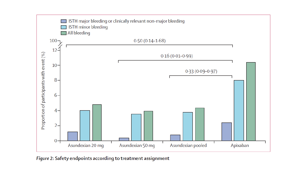

Figure 2: Safety endpoints according to treatment assignment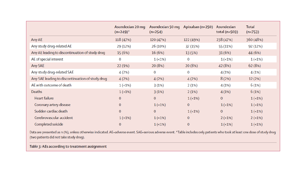|                                                  | Asundexian 20 mg<br>$(n=249)^{*}$ | Asundexian 50 mg Apixaban (n=250)<br>$(n=254)$ |              | Asundexian<br>total ( $n=503$ ) | <b>Total</b><br>$(n=753)$ |
|--------------------------------------------------|-----------------------------------|------------------------------------------------|--------------|---------------------------------|---------------------------|
| Any AE                                           | 118 (47%)                         | 120 (47%)                                      | 122 (49%)    | 238 (47%)                       | 360 (48%)                 |
| Any study drug-related AE                        | 29 (12%)                          | 26 (10%)                                       | 37 (15%)     | 55 (11%)                        | 92 (12%)                  |
| Any AE leading to discontinuation of study drug  | 15 (6%)                           | 16(6%)                                         | 13 (5%)      | 31(6%)                          | 44 (6%)                   |
| AE of special interest                           | 0                                 | $1(-1%)$                                       | 0            | $1(-1%)$                        | $1(-1%)$                  |
| Any SAE                                          | 22 (9%)                           | 20 (8%)                                        | 20(8%)       | 42 (8%)                         | 62(8%)                    |
| Any study drug-related SAE                       | 4(2%)                             | 0                                              | 0            | 4(1%)                           | 4(1%)                     |
| Any SAE leading to discontinuation of study drug | 4(2%)                             | 4(2%)                                          | 4(2%)        | 8(2%)                           | 12(2%)                    |
| AE with outcome of death                         | $1(-1%)$                          | 3(1%)                                          | 2(1%)        | 4(1%)                           | 6(1%)                     |
| Deaths                                           | $1(-1%)$                          | 3(1%)                                          | 2(1%)        | 4(1%)                           | 6(1%)                     |
| <b>Heart failure</b>                             | $\mathbf{0}$                      | $\mathbf{0}$                                   | $1(-1%)$     | $\mathbf{O}$                    | $1(-1%)$                  |
| Coronary artery disease                          | $\mathbf{0}$                      | $1(-1%)$                                       | $\mathbf{O}$ | $1(-1%)$                        | $1(-1%)$                  |
| Sudden cardiac death                             | $\mathbf{0}$                      | $\mathbf{0}$                                   | $1(-1%)$     | $\mathbf{0}$                    | $1(-1%)$                  |
| Cerebrovascular accident                         | $1(-1%)$                          | $1(-1%)$                                       | $\mathbf{O}$ | $2(-1%)$                        | $2(-1%)$                  |
| Completed suicide                                | $\mathbf{0}$                      | $1(-1%)$                                       | $\mathbf{O}$ | $1(-1%)$                        | $1(-1%)$                  |

Data are presented as n (%), unless otherwise indicated. AE=adverse event. SAE=serious adverse event. \*Table includes only patients who took at least one dose of study drug (two patients did not take study drug).

Table 3: AEs according to treatment assignment